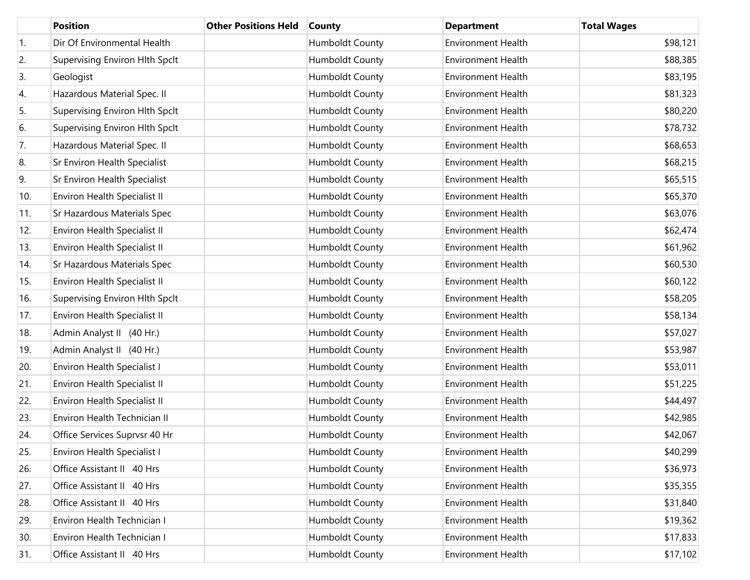|     | <b>Position</b>                     | <b>Other Positions Held</b> | <b>County</b>          | <b>Department</b>         | <b>Total Wages</b> |
|-----|-------------------------------------|-----------------------------|------------------------|---------------------------|--------------------|
| 1.  | Dir Of Environmental Health         |                             | Humboldt County        | <b>Environment Health</b> | \$98,121           |
| 2.  | Supervising Environ Hlth Spclt      |                             | Humboldt County        | <b>Environment Health</b> | \$88,385           |
| 3.  | Geologist                           |                             | Humboldt County        | <b>Environment Health</b> | \$83,195           |
| 4.  | Hazardous Material Spec. II         |                             | Humboldt County        | <b>Environment Health</b> | \$81,323           |
| 5.  | Supervising Environ Hlth Spclt      |                             | Humboldt County        | <b>Environment Health</b> | \$80,220           |
| 6.  | Supervising Environ Hlth Spclt      |                             | Humboldt County        | <b>Environment Health</b> | \$78,732           |
| 7.  | Hazardous Material Spec. II         |                             | Humboldt County        | <b>Environment Health</b> | \$68,653           |
| 8.  | Sr Environ Health Specialist        |                             | Humboldt County        | <b>Environment Health</b> | \$68,215           |
| 9.  | Sr Environ Health Specialist        |                             | Humboldt County        | <b>Environment Health</b> | \$65,515           |
| 10. | Environ Health Specialist II        |                             | Humboldt County        | <b>Environment Health</b> | \$65,370           |
| 11. | Sr Hazardous Materials Spec         |                             | Humboldt County        | <b>Environment Health</b> | \$63,076           |
| 12. | Environ Health Specialist II        |                             | Humboldt County        | <b>Environment Health</b> | \$62,474           |
| 13. | Environ Health Specialist II        |                             | Humboldt County        | <b>Environment Health</b> | \$61,962           |
| 14. | Sr Hazardous Materials Spec         |                             | Humboldt County        | <b>Environment Health</b> | \$60,530           |
| 15. | <b>Environ Health Specialist II</b> |                             | Humboldt County        | <b>Environment Health</b> | \$60,122           |
| 16. | Supervising Environ Hlth Spclt      |                             | Humboldt County        | <b>Environment Health</b> | \$58,205           |
| 17. | Environ Health Specialist II        |                             | Humboldt County        | <b>Environment Health</b> | \$58,134           |
| 18. | Admin Analyst II (40 Hr.)           |                             | Humboldt County        | <b>Environment Health</b> | \$57,027           |
| 19. | Admin Analyst II (40 Hr.)           |                             | Humboldt County        | <b>Environment Health</b> | \$53,987           |
| 20. | Environ Health Specialist I         |                             | Humboldt County        | <b>Environment Health</b> | \$53,011           |
| 21. | Environ Health Specialist II        |                             | Humboldt County        | <b>Environment Health</b> | \$51,225           |
| 22. | Environ Health Specialist II        |                             | Humboldt County        | <b>Environment Health</b> | \$44,497           |
| 23. | Environ Health Technician II        |                             | Humboldt County        | <b>Environment Health</b> | \$42,985           |
| 24. | Office Services Suprvsr 40 Hr       |                             | Humboldt County        | <b>Environment Health</b> | \$42,067           |
| 25. | Environ Health Specialist I         |                             | Humboldt County        | <b>Environment Health</b> | \$40,299           |
| 26. | Office Assistant II 40 Hrs          |                             | Humboldt County        | <b>Environment Health</b> | \$36,973           |
| 27. | Office Assistant II 40 Hrs          |                             | Humboldt County        | <b>Environment Health</b> | \$35,355           |
| 28. | Office Assistant II 40 Hrs          |                             | Humboldt County        | Environment Health        | \$31,840           |
| 29. | Environ Health Technician I         |                             | Humboldt County        | Environment Health        | \$19,362           |
| 30. | Environ Health Technician I         |                             | Humboldt County        | <b>Environment Health</b> | \$17,833           |
| 31. | Office Assistant II 40 Hrs          |                             | <b>Humboldt County</b> | Environment Health        | \$17,102           |